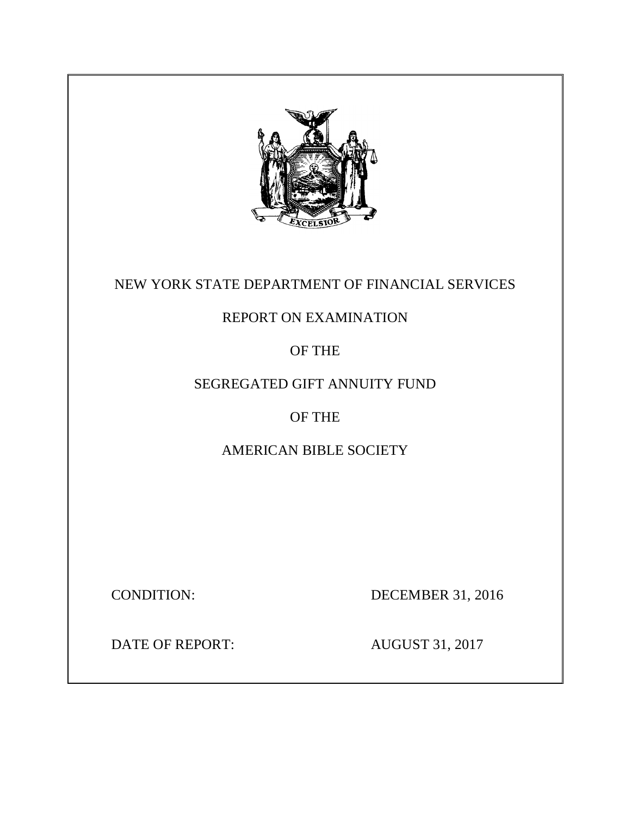

# NEW YORK STATE DEPARTMENT OF FINANCIAL SERVICES

# REPORT ON EXAMINATION

OF THE

# SEGREGATED GIFT ANNUITY FUND

# OF THE

# AMERICAN BIBLE SOCIETY

**CONDITION:** 

DECEMBER 31, 2016

DATE OF REPORT: AUGUST 31, 2017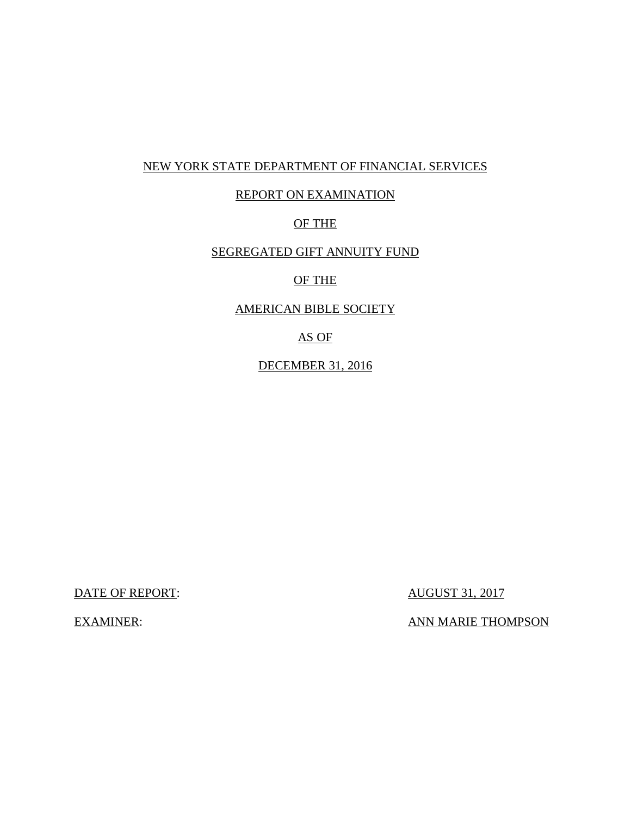# NEW YORK STATE DEPARTMENT OF FINANCIAL SERVICES

# REPORT ON EXAMINATION

## OF THE

# SEGREGATED GIFT ANNUITY FUND

## OF THE

## AMERICAN BIBLE SOCIETY

## AS OF

## DECEMBER 31, 2016

DATE OF REPORT:  $\overline{AUGUST\ 31, 2017}$ 

**EXAMINER:** 

ANN MARIE THOMPSON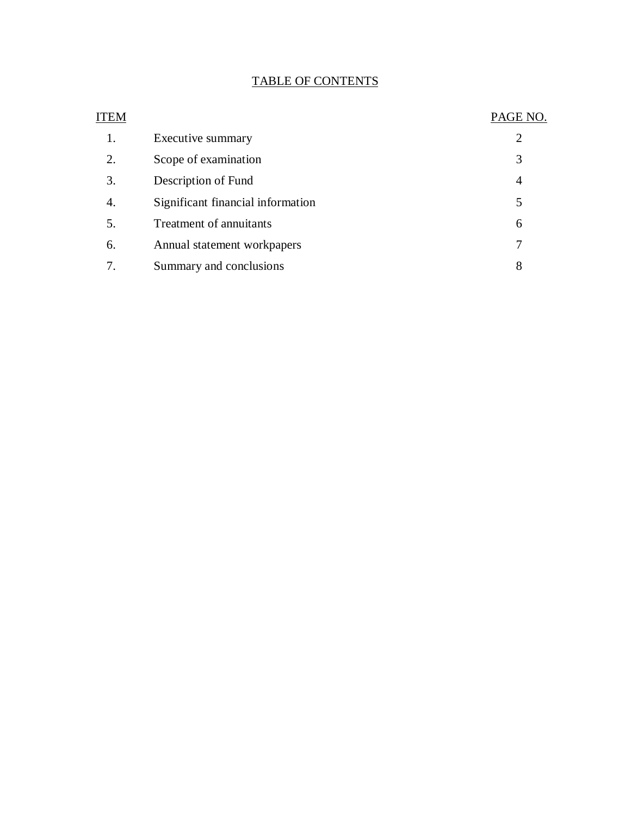# TABLE OF CONTENTS

| ITEM |                                   | PAGE NO. |
|------|-----------------------------------|----------|
| 1.   | Executive summary                 | 2        |
| 2.   | Scope of examination              | 3        |
| 3.   | Description of Fund               | 4        |
| 4.   | Significant financial information | 5        |
| 5.   | Treatment of annuitants           | 6        |
| 6.   | Annual statement workpapers       |          |
| 7.   | Summary and conclusions           | 8        |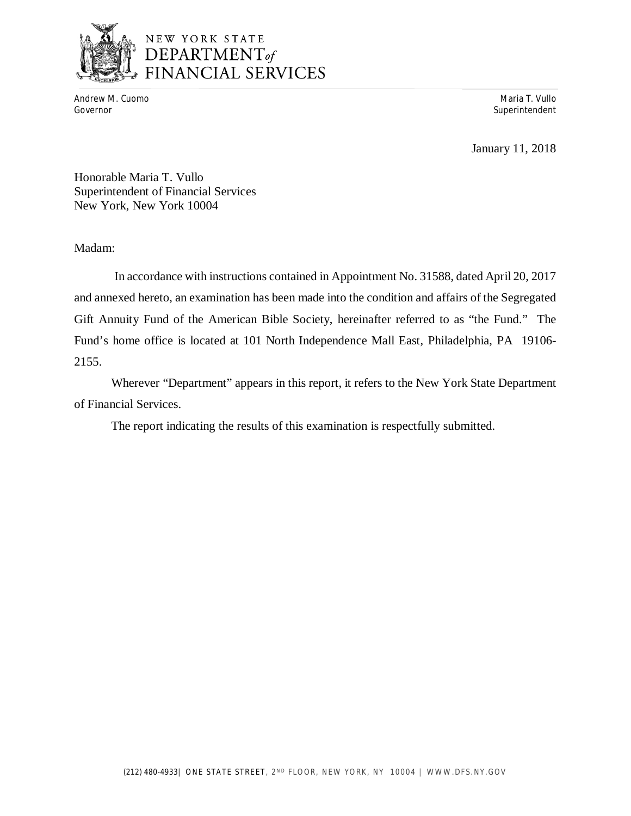

# NEW YORK STATE **DEPARTMENT**<br>DEPARTMENT<sub>of</sub><br>FINANCIAL SERVICES

 Andrew M. Cuomo Maria T. Vullo Governor Superintendent Superintendent Superintendent Superintendent Superintendent Superintendent Superintendent

January 11, 2018

 Honorable Maria T. Vullo Superintendent of Financial Services New York, New York 10004

Madam:

 and annexed hereto, an examination has been made into the condition and affairs of the Segregated Gift Annuity Fund of the American Bible Society, hereinafter referred to as "the Fund." The Fund's home office is located at 101 North Independence Mall East, Philadelphia, PA 19106- In accordance with instructions contained in Appointment No. 31588, dated April 20, 2017 2155.

 Wherever "Department" appears in this report, it refers to the New York State Department of Financial Services.

The report indicating the results of this examination is respectfully submitted.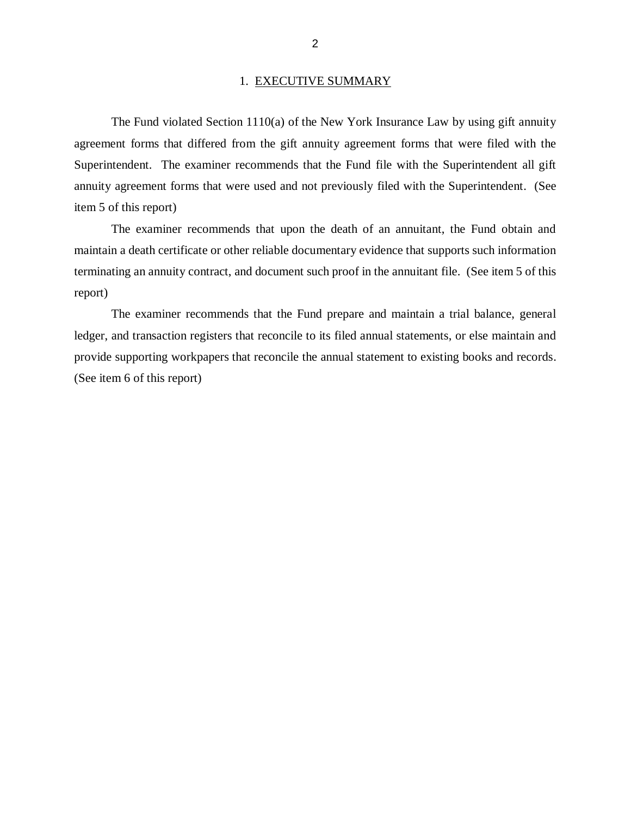#### 1. EXECUTIVE SUMMARY

 The Fund violated Section 1110(a) of the New York Insurance Law by using gift annuity agreement forms that differed from the gift annuity agreement forms that were filed with the Superintendent. The examiner recommends that the Fund file with the Superintendent all gift annuity agreement forms that were used and not previously filed with the Superintendent. (See item 5 of this report)

 The examiner recommends that upon the death of an annuitant, the Fund obtain and maintain a death certificate or other reliable documentary evidence that supports such information terminating an annuity contract, and document such proof in the annuitant file. (See item 5 of this report)

 ledger, and transaction registers that reconcile to its filed annual statements, or else maintain and provide supporting workpapers that reconcile the annual statement to existing books and records. (See item 6 of this report) The examiner recommends that the Fund prepare and maintain a trial balance, general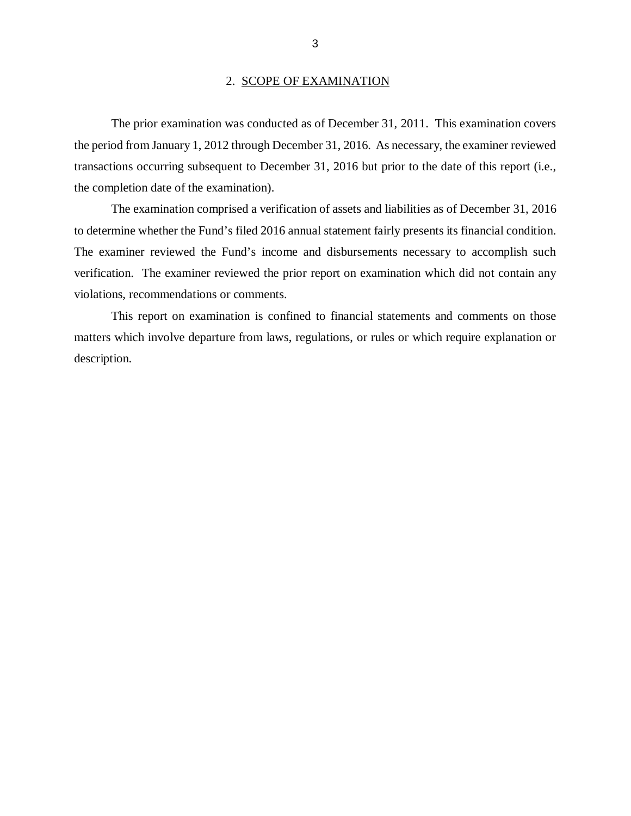#### 2. SCOPE OF EXAMINATION

 the period from January 1, 2012 through December 31, 2016. As necessary, the examiner reviewed transactions occurring subsequent to December 31, 2016 but prior to the date of this report (i.e., the completion date of the examination). The prior examination was conducted as of December 31, 2011. This examination covers

 to determine whether the Fund's filed 2016 annual statement fairly presents its financial condition. The examiner reviewed the Fund's income and disbursements necessary to accomplish such verification. The examiner reviewed the prior report on examination which did not contain any violations, recommendations or comments. The examination comprised a verification of assets and liabilities as of December 31, 2016

 matters which involve departure from laws, regulations, or rules or which require explanation or This report on examination is confined to financial statements and comments on those description.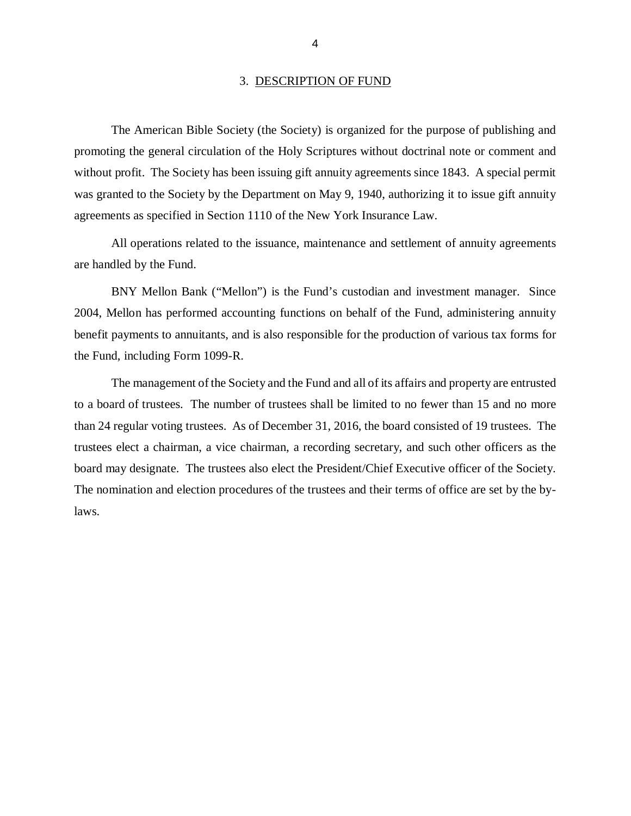#### 3. DESCRIPTION OF FUND

 The American Bible Society (the Society) is organized for the purpose of publishing and promoting the general circulation of the Holy Scriptures without doctrinal note or comment and without profit. The Society has been issuing gift annuity agreements since 1843. A special permit was granted to the Society by the Department on May 9, 1940, authorizing it to issue gift annuity agreements as specified in Section 1110 of the New York Insurance Law.

 All operations related to the issuance, maintenance and settlement of annuity agreements are handled by the Fund.

 BNY Mellon Bank ("Mellon") is the Fund's custodian and investment manager. Since 2004, Mellon has performed accounting functions on behalf of the Fund, administering annuity benefit payments to annuitants, and is also responsible for the production of various tax forms for the Fund, including Form 1099-R.

 The management of the Society and the Fund and all of its affairs and property are entrusted to a board of trustees. The number of trustees shall be limited to no fewer than 15 and no more than 24 regular voting trustees. As of December 31, 2016, the board consisted of 19 trustees. The trustees elect a chairman, a vice chairman, a recording secretary, and such other officers as the board may designate. The trustees also elect the President/Chief Executive officer of the Society. The nomination and election procedures of the trustees and their terms of office are set by the bylaws.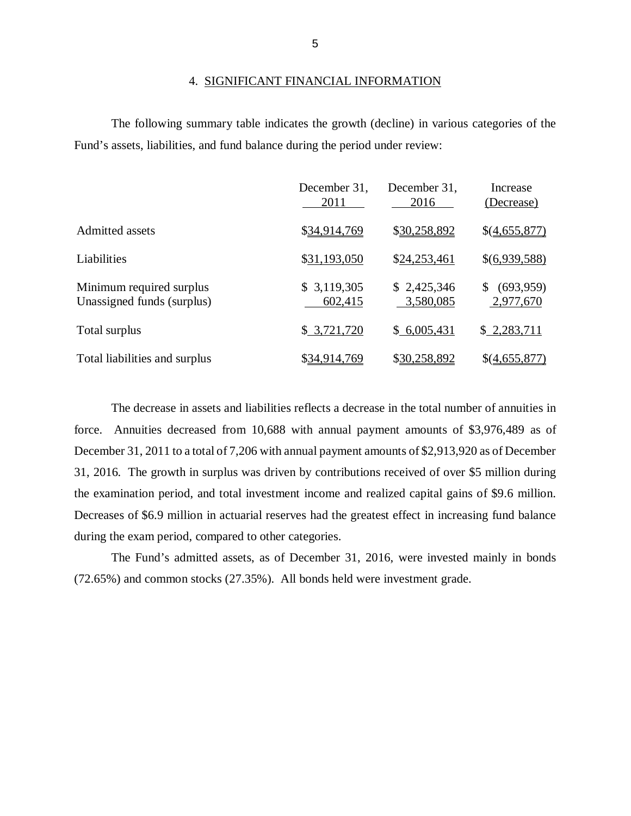#### 4. SIGNIFICANT FINANCIAL INFORMATION

 Fund's assets, liabilities, and fund balance during the period under review: The following summary table indicates the growth (decline) in various categories of the

|                                                        | December 31.<br>2011   | December 31,<br>2016     | Increase<br>(Decrease)     |
|--------------------------------------------------------|------------------------|--------------------------|----------------------------|
| Admitted assets                                        | \$34,914,769           | \$30,258,892             | \$(4,655,877)              |
| Liabilities                                            | \$31,193,050           | \$24,253,461             | \$(6,939,588)              |
| Minimum required surplus<br>Unassigned funds (surplus) | \$3,119,305<br>602,415 | \$2,425,346<br>3,580,085 | (693, 959)<br>2,977,670    |
| Total surplus                                          | \$3,721,720            | \$6,005,431              | \$2,283,711                |
| Total liabilities and surplus                          | \$34,914,769           | \$30,258,892             | $$(\underline{4,655,877})$ |

 The decrease in assets and liabilities reflects a decrease in the total number of annuities in force. Annuities decreased from 10,688 with annual payment amounts of \$3,976,489 as of December 31, 2011 to a total of 7,206 with annual payment amounts of \$2,913,920 as of December 31, 2016. The growth in surplus was driven by contributions received of over \$5 million during the examination period, and total investment income and realized capital gains of \$9.6 million. Decreases of \$6.9 million in actuarial reserves had the greatest effect in increasing fund balance during the exam period, compared to other categories.

 The Fund's admitted assets, as of December 31, 2016, were invested mainly in bonds (72.65%) and common stocks (27.35%). All bonds held were investment grade.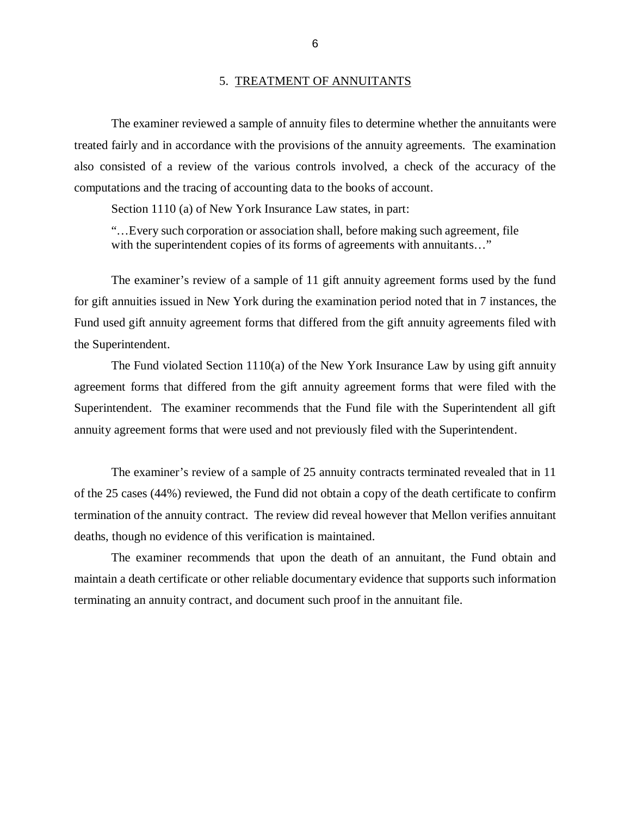#### 5. TREATMENT OF ANNUITANTS

 The examiner reviewed a sample of annuity files to determine whether the annuitants were treated fairly and in accordance with the provisions of the annuity agreements. The examination also consisted of a review of the various controls involved, a check of the accuracy of the computations and the tracing of accounting data to the books of account.

Section 1110 (a) of New York Insurance Law states, in part:

 "…Every such corporation or association shall, before making such agreement, file with the superintendent copies of its forms of agreements with annuitants..."

 The examiner's review of a sample of 11 gift annuity agreement forms used by the fund for gift annuities issued in New York during the examination period noted that in 7 instances, the Fund used gift annuity agreement forms that differed from the gift annuity agreements filed with the Superintendent.

 The Fund violated Section 1110(a) of the New York Insurance Law by using gift annuity agreement forms that differed from the gift annuity agreement forms that were filed with the Superintendent. The examiner recommends that the Fund file with the Superintendent all gift annuity agreement forms that were used and not previously filed with the Superintendent.

 The examiner's review of a sample of 25 annuity contracts terminated revealed that in 11 of the 25 cases (44%) reviewed, the Fund did not obtain a copy of the death certificate to confirm termination of the annuity contract. The review did reveal however that Mellon verifies annuitant deaths, though no evidence of this verification is maintained.

 The examiner recommends that upon the death of an annuitant, the Fund obtain and maintain a death certificate or other reliable documentary evidence that supports such information terminating an annuity contract, and document such proof in the annuitant file.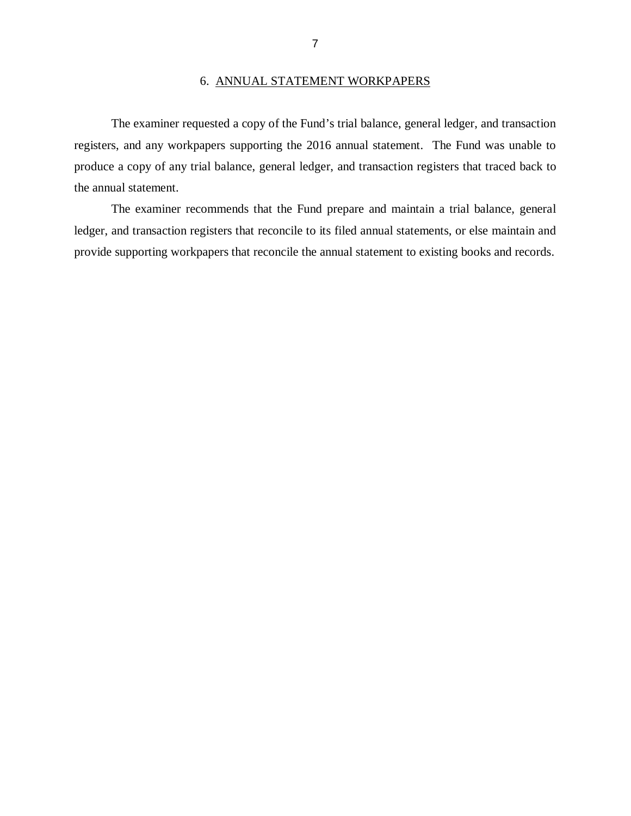#### 6. ANNUAL STATEMENT WORKPAPERS

 The examiner requested a copy of the Fund's trial balance, general ledger, and transaction registers, and any workpapers supporting the 2016 annual statement. The Fund was unable to produce a copy of any trial balance, general ledger, and transaction registers that traced back to the annual statement.

 ledger, and transaction registers that reconcile to its filed annual statements, or else maintain and provide supporting workpapers that reconcile the annual statement to existing books and records. The examiner recommends that the Fund prepare and maintain a trial balance, general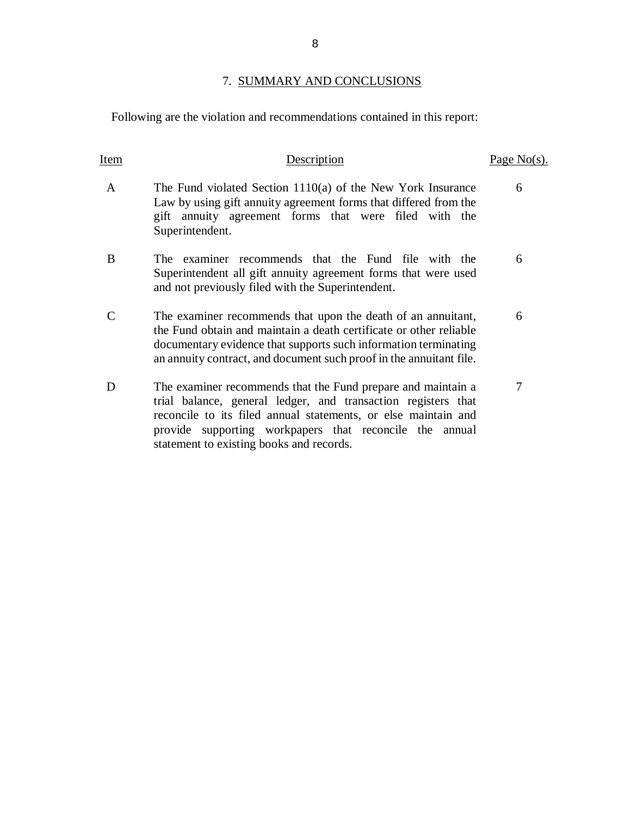## 7. SUMMARY AND CONCLUSIONS

Following are the violation and recommendations contained in this report:

| Item | Description                                                                                                                                                                                                                                                                                            | Page $No(s)$ . |
|------|--------------------------------------------------------------------------------------------------------------------------------------------------------------------------------------------------------------------------------------------------------------------------------------------------------|----------------|
| A    | The Fund violated Section $1110(a)$ of the New York Insurance<br>Law by using gift annuity agreement forms that differed from the<br>gift annuity agreement forms that were filed with the<br>Superintendent.                                                                                          | 6              |
| B    | The examiner recommends that the Fund file with the<br>Superintendent all gift annuity agreement forms that were used<br>and not previously filed with the Superintendent.                                                                                                                             | 6              |
|      | The examiner recommends that upon the death of an annuitant,<br>the Fund obtain and maintain a death certificate or other reliable<br>documentary evidence that supports such information terminating<br>an annuity contract, and document such proof in the annuitant file.                           | 6              |
| D    | The examiner recommends that the Fund prepare and maintain a<br>trial balance, general ledger, and transaction registers that<br>reconcile to its filed annual statements, or else maintain and<br>provide supporting workpapers that reconcile the annual<br>statement to existing books and records. | 7              |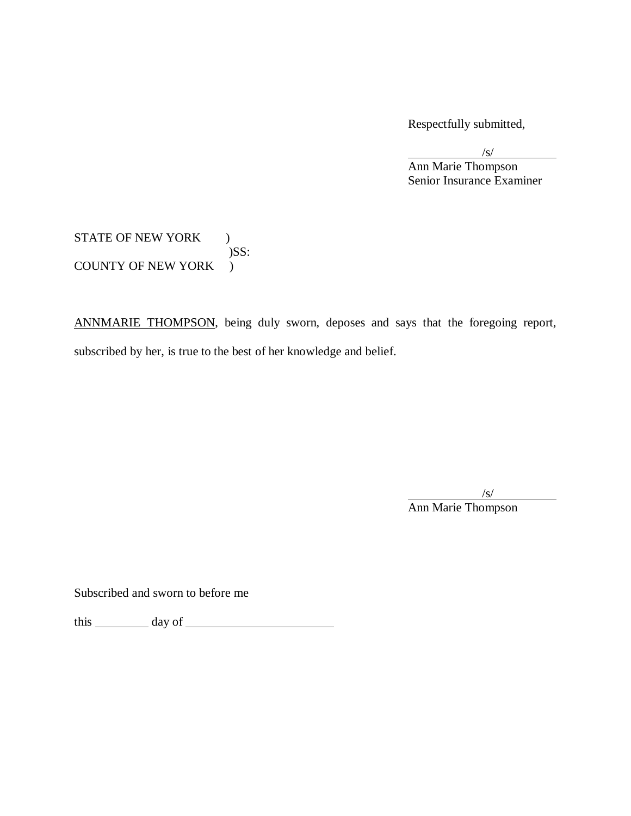Respectfully submitted,

/s/ Ann Marie Thompson Senior Insurance Examiner

# STATE OF NEW YORK ) COUNTY OF NEW YORK ) )SS:

ANNMARIE THOMPSON, being duly sworn, deposes and says that the foregoing report, subscribed by her, is true to the best of her knowledge and belief.

> $\sqrt{s/2}$ Ann Marie Thompson

Subscribed and sworn to before me

this day of